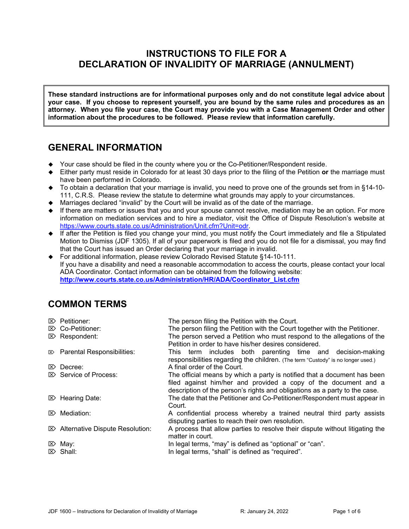# **INSTRUCTIONS TO FILE FOR A DECLARATION OF INVALIDITY OF MARRIAGE (ANNULMENT)**

**These standard instructions are for informational purposes only and do not constitute legal advice about your case. If you choose to represent yourself, you are bound by the same rules and procedures as an attorney. When you file your case, the Court may provide you with a Case Management Order and other information about the procedures to be followed. Please review that information carefully.**

## **GENERAL INFORMATION**

- Your case should be filed in the county where you or the Co-Petitioner/Respondent reside.
- Either party must reside in Colorado for at least 30 days prior to the filing of the Petition **or** the marriage must have been performed in Colorado.
- ◆ To obtain a declaration that your marriage is invalid, you need to prove one of the grounds set from in §14-10-111, C.R.S. Please review the statute to determine what grounds may apply to your circumstances.
- Marriages declared "invalid" by the Court will be invalid as of the date of the marriage.
- $\bullet$  If there are matters or issues that you and your spouse cannot resolve, mediation may be an option. For more information on mediation services and to hire a mediator, visit the Office of Dispute Resolution's website at [https://www.courts.state.co.us/Administration/Unit.cfm?Unit=odr.](https://www.courts.state.co.us/Administration/Unit.cfm?Unit=odr)
- If after the Petition is filed you change your mind, you must notify the Court immediately and file a Stipulated Motion to Dismiss (JDF 1305). If all of your paperwork is filed and you do not file for a dismissal, you may find that the Court has issued an Order declaring that your marriage in invalid.
- ◆ For additional information, please review Colorado Revised Statute §14-10-111. If you have a disability and need a reasonable accommodation to access the courts, please contact your local ADA Coordinator. Contact information can be obtained from the following website: **[http://www.courts.state.co.us/Administration/HR/ADA/Coordinator\\_List.cfm](http://www.courts.state.co.us/Administration/HR/ADA/Coordinator_List.cfm)**

# **COMMON TERMS**

| $\mathbb{Z}$ Petitioner:<br>$\mathbb{Z}$ Co-Petitioner:<br>$\mathbb{Z}$ Respondent: | The person filing the Petition with the Court.<br>The person filing the Petition with the Court together with the Petitioner.<br>The person served a Petition who must respond to the allegations of the<br>Petition in order to have his/her desires considered. |
|-------------------------------------------------------------------------------------|-------------------------------------------------------------------------------------------------------------------------------------------------------------------------------------------------------------------------------------------------------------------|
| $\mathbb{R}$ Parental Responsibilities:                                             | This term includes both parenting time and decision-making<br>responsibilities regarding the children. (The term "Custody" is no longer used.)                                                                                                                    |
| $\mathbb{Z}$ Decree:                                                                | A final order of the Court.                                                                                                                                                                                                                                       |
| $\boxtimes$ Service of Process:                                                     | The official means by which a party is notified that a document has been<br>filed against him/her and provided a copy of the document and a<br>description of the person's rights and obligations as a party to the case.                                         |
| $\mathbb{Z}$ Hearing Date:                                                          | The date that the Petitioner and Co-Petitioner/Respondent must appear in<br>Court.                                                                                                                                                                                |
| $\mathbb{Z}$ Mediation:                                                             | A confidential process whereby a trained neutral third party assists<br>disputing parties to reach their own resolution.                                                                                                                                          |
| $\mathbb{Z}$ Alternative Dispute Resolution:                                        | A process that allow parties to resolve their dispute without litigating the<br>matter in court.                                                                                                                                                                  |
| $\mathbb{Z}$ May:                                                                   | In legal terms, "may" is defined as "optional" or "can".                                                                                                                                                                                                          |
| $\mathbb{Z}$ Shall:                                                                 | In legal terms, "shall" is defined as "required".                                                                                                                                                                                                                 |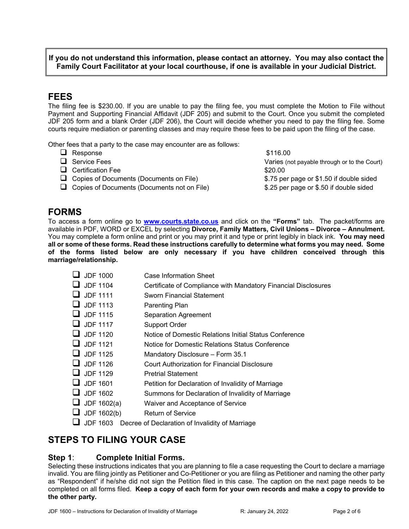## **If you do not understand this information, please contact an attorney. You may also contact the Family Court Facilitator at your local courthouse, if one is available in your Judicial District.**

## **FEES**

The filing fee is \$230.00. If you are unable to pay the filing fee, you must complete the Motion to File without Payment and Supporting Financial Affidavit (JDF 205) and submit to the Court. Once you submit the completed JDF 205 form and a blank Order (JDF 206), the Court will decide whether you need to pay the filing fee. Some courts require mediation or parenting classes and may require these fees to be paid upon the filing of the case.

Other fees that a party to the case may encounter are as follows:

| $\Box$ Response                                    | \$116.00                                     |
|----------------------------------------------------|----------------------------------------------|
| $\Box$ Service Fees                                | Varies (not payable through or to the Court) |
| $\Box$ Certification Fee                           | \$20.00                                      |
| $\Box$ Copies of Documents (Documents on File)     | \$.75 per page or \$1.50 if double sided     |
| $\Box$ Copies of Documents (Documents not on File) | \$.25 per page or \$.50 if double sided      |
|                                                    |                                              |

## **FORMS**

To access a form online go to **[www.courts.state.co.us](http://www.courts.state.co.us/)** and click on the **"Forms"** tab. The packet/forms are available in PDF, WORD or EXCEL by selecting **Divorce, Family Matters, Civil Unions – Divorce – Annulment.** You may complete a form online and print or you may print it and type or print legibly in black ink. **You may need all or some of these forms. Read these instructions carefully to determine what forms you may need. Some of the forms listed below are only necessary if you have children conceived through this marriage/relationship.** 

| $\Box$ JDF 1000 | Case Information Sheet |
|-----------------|------------------------|
|                 |                        |

- JDF 1104 Certificate of Compliance with Mandatory Financial Disclosures
- $\Box$  JDF 1111 Sworn Financial Statement
- $\Box$  JDF 1113 Parenting Plan
- $\Box$  JDF 1115 Separation Agreement
- JDF 1117 Support Order
- JDF 1120 Notice of Domestic Relations Initial Status Conference
- JDF 1121 Notice for Domestic Relations Status Conference
- $\Box$  JDF 1125 Mandatory Disclosure Form 35.1
- JDF 1126 Court Authorization for Financial Disclosure
- $\Box$  JDF 1129 Pretrial Statement
- $\Box$  JDF 1601 Petition for Declaration of Invalidity of Marriage
- $\Box$  JDF 1602 Summons for Declaration of Invalidity of Marriage
- $\Box$  JDF 1602(a) Waiver and Acceptance of Service
- $\Box$  JDF 1602(b) Return of Service
- JDF 1603 Decree of Declaration of Invalidity of Marriage

# **STEPS TO FILING YOUR CASE**

**Step 1**: **Complete Initial Forms.**<br>Selecting these instructions indicates that you are planning to file a case requesting the Court to declare a marriage invalid. You are filing jointly as Petitioner and Co-Petitioner or you are filing as Petitioner and naming the other party as "Respondent" if he/she did not sign the Petition filed in this case. The caption on the next page needs to be completed on all forms filed. **Keep a copy of each form for your own records and make a copy to provide to the other party.**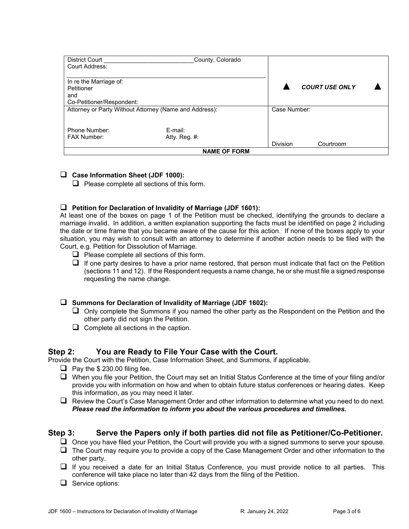| <b>District Court</b>                                  | County, Colorado    |                 |                       |  |
|--------------------------------------------------------|---------------------|-----------------|-----------------------|--|
| Court Address:                                         |                     |                 |                       |  |
|                                                        |                     |                 |                       |  |
| In re the Marriage of:                                 |                     |                 |                       |  |
| Petitioner                                             |                     |                 | <b>COURT USE ONLY</b> |  |
| and                                                    |                     |                 |                       |  |
| Co-Petitioner/Respondent:                              |                     |                 |                       |  |
| Attorney or Party Without Attorney (Name and Address): |                     | Case Number:    |                       |  |
|                                                        |                     |                 |                       |  |
|                                                        |                     |                 |                       |  |
| Phone Number:                                          | E-mail:             |                 |                       |  |
| <b>FAX Number:</b>                                     | Atty. Reg. #:       |                 |                       |  |
|                                                        |                     | <b>Division</b> | Courtroom             |  |
|                                                        | <b>NAME OF FORM</b> |                 |                       |  |

#### **Case Information Sheet (JDF 1000):**

 $\Box$  Please complete all sections of this form.

#### **Petition for Declaration of Invalidity of Marriage (JDF 1601):**

At least one of the boxes on page 1 of the Petition must be checked, identifying the grounds to declare a marriage invalid. In addition, a written explanation supporting the facts must be identified on page 2 including the date or time frame that you became aware of the cause for this action. If none of the boxes apply to your situation, you may wish to consult with an attorney to determine if another action needs to be filed with the Court, e.g. Petition for Dissolution of Marriage.

- $\Box$  Please complete all sections of this form.
- $\Box$  If one party desires to have a prior name restored, that person must indicate that fact on the Petition (sections 11 and 12). If the Respondent requests a name change, he or she must file a signed response requesting the name change.

#### **Summons for Declaration of Invalidity of Marriage (JDF 1602):**

- $\Box$  Only complete the Summons if you named the other party as the Respondent on the Petition and the other party did not sign the Petition.
- $\Box$  Complete all sections in the caption.

## **Step 2: You are Ready to File Your Case with the Court.**

Provide the Court with the Petition, Case Information Sheet, and Summons, if applicable.

- $\Box$  Pay the \$ 230.00 filing fee.
- When you file your Petition, the Court may set an Initial Status Conference at the time of your filing and/or provide you with information on how and when to obtain future status conferences or hearing dates. Keep this information, as you may need it later.
- $\Box$  Review the Court's Case Management Order and other information to determine what you need to do next. *Please read the information to inform you about the various procedures and timelines.*

#### **Step 3: Serve the Papers only if both parties did not file as Petitioner/Co-Petitioner.**

- $\Box$  Once you have filed your Petition, the Court will provide you with a signed summons to serve your spouse.
- $\Box$  The Court may require you to provide a copy of the Case Management Order and other information to the other party.
- $\Box$  If you received a date for an Initial Status Conference, you must provide notice to all parties. This conference will take place no later than 42 days from the filing of the Petition.
- $\Box$  Service options: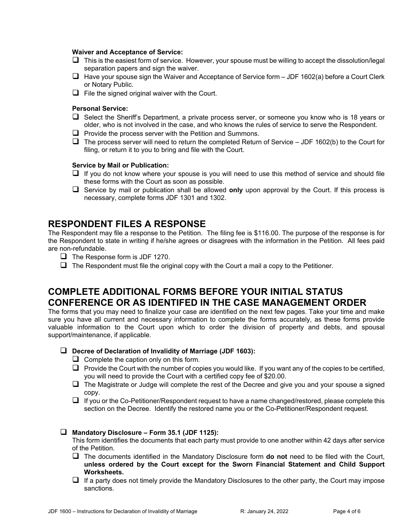#### **Waiver and Acceptance of Service:**

- $\Box$  This is the easiest form of service. However, your spouse must be willing to accept the dissolution/legal separation papers and sign the waiver.
- $\Box$  Have your spouse sign the Waiver and Acceptance of Service form JDF 1602(a) before a Court Clerk or Notary Public.
- $\Box$  File the signed original waiver with the Court.

#### **Personal Service:**

- □ Select the Sheriff's Department, a private process server, or someone you know who is 18 years or older, who is not involved in the case, and who knows the rules of service to serve the Respondent.
- $\Box$  Provide the process server with the Petition and Summons.
- $\Box$  The process server will need to return the completed Return of Service JDF 1602(b) to the Court for filing, or return it to you to bring and file with the Court.

#### **Service by Mail or Publication:**

- $\Box$  If you do not know where your spouse is you will need to use this method of service and should file these forms with the Court as soon as possible.
- Service by mail or publication shall be allowed **only** upon approval by the Court. If this process is necessary, complete forms JDF 1301 and 1302.

## **RESPONDENT FILES A RESPONSE**

The Respondent may file a response to the Petition. The filing fee is \$116.00. The purpose of the response is for the Respondent to state in writing if he/she agrees or disagrees with the information in the Petition. All fees paid are non-refundable.

- $\Box$  The Response form is JDF 1270.
- $\Box$  The Respondent must file the original copy with the Court a mail a copy to the Petitioner.

# **COMPLETE ADDITIONAL FORMS BEFORE YOUR INITIAL STATUS CONFERENCE OR AS IDENTIFED IN THE CASE MANAGEMENT ORDER**

The forms that you may need to finalize your case are identified on the next few pages. Take your time and make sure you have all current and necessary information to complete the forms accurately, as these forms provide valuable information to the Court upon which to order the division of property and debts, and spousal support/maintenance, if applicable.

- **Decree of Declaration of Invalidity of Marriage (JDF 1603):**
	- $\Box$  Complete the caption only on this form.
	- $\Box$  Provide the Court with the number of copies you would like. If you want any of the copies to be certified, you will need to provide the Court with a certified copy fee of \$20.00.
	- $\Box$  The Magistrate or Judge will complete the rest of the Decree and give you and your spouse a signed copy.
	- $\Box$  If you or the Co-Petitioner/Respondent request to have a name changed/restored, please complete this section on the Decree. Identify the restored name you or the Co-Petitioner/Respondent request.

#### **Mandatory Disclosure – Form 35.1 (JDF 1125):**

This form identifies the documents that each party must provide to one another within 42 days after service of the Petition.

- The documents identified in the Mandatory Disclosure form **do not** need to be filed with the Court, **unless ordered by the Court except for the Sworn Financial Statement and Child Support Worksheets.**
- $\Box$  If a party does not timely provide the Mandatory Disclosures to the other party, the Court may impose sanctions.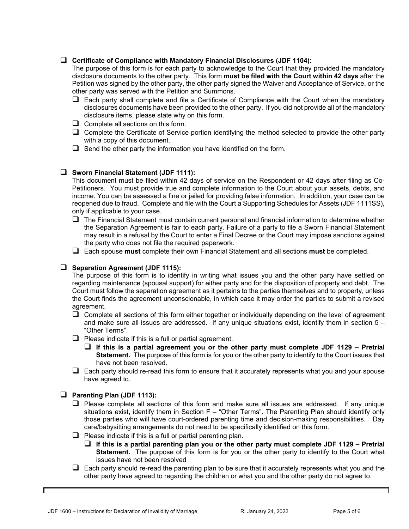#### **Certificate of Compliance with Mandatory Financial Disclosures (JDF 1104):**

The purpose of this form is for each party to acknowledge to the Court that they provided the mandatory disclosure documents to the other party. This form **must be filed with the Court within 42 days** after the Petition was signed by the other party, the other party signed the Waiver and Acceptance of Service, or the other party was served with the Petition and Summons.

- $\Box$  Each party shall complete and file a Certificate of Compliance with the Court when the mandatory disclosures documents have been provided to the other party. If you did not provide all of the mandatory disclosure items, please state why on this form.
- $\Box$  Complete all sections on this form.
- $\Box$  Complete the Certificate of Service portion identifying the method selected to provide the other party with a copy of this document.
- $\Box$  Send the other party the information you have identified on the form.

#### **Sworn Financial Statement (JDF 1111):**

This document must be filed within 42 days of service on the Respondent or 42 days after filing as Co-Petitioners. You must provide true and complete information to the Court about your assets, debts, and income. You can be assessed a fine or jailed for providing false information. In addition, your case can be reopened due to fraud. Complete and file with the Court a Supporting Schedules for Assets (JDF 1111SS), only if applicable to your case.

- $\Box$  The Financial Statement must contain current personal and financial information to determine whether the Separation Agreement is fair to each party. Failure of a party to file a Sworn Financial Statement may result in a refusal by the Court to enter a Final Decree or the Court may impose sanctions against the party who does not file the required paperwork.
- Each spouse **must** complete their own Financial Statement and all sections **must** be completed.

#### **Separation Agreement (JDF 1115):**

The purpose of this form is to identify in writing what issues you and the other party have settled on regarding maintenance (spousal support) for either party and for the disposition of property and debt. The Court must follow the separation agreement as it pertains to the parties themselves and to property, unless the Court finds the agreement unconscionable, in which case it may order the parties to submit a revised agreement.

- $\Box$  Complete all sections of this form either together or individually depending on the level of agreement and make sure all issues are addressed. If any unique situations exist, identify them in section  $5 -$ "Other Terms".
- $\Box$  Please indicate if this is a full or partial agreement.
	- **If this is a partial agreement you or the other party must complete JDF 1129 Pretrial Statement.** The purpose of this form is for you or the other party to identify to the Court issues that have not been resolved.
- $\Box$  Each party should re-read this form to ensure that it accurately represents what you and your spouse have agreed to.

#### **Parenting Plan (JDF 1113):**

- $\Box$  Please complete all sections of this form and make sure all issues are addressed. If any unique situations exist, identify them in Section F – "Other Terms". The Parenting Plan should identify only those parties who will have court-ordered parenting time and decision-making responsibilities. Day care/babysitting arrangements do not need to be specifically identified on this form.
- $\Box$  Please indicate if this is a full or partial parenting plan.
	- **If this is a partial parenting plan you or the other party must complete JDF 1129 Pretrial Statement.** The purpose of this form is for you or the other party to identify to the Court what issues have not been resolved
- $\Box$  Each party should re-read the parenting plan to be sure that it accurately represents what you and the other party have agreed to regarding the children or what you and the other party do not agree to.